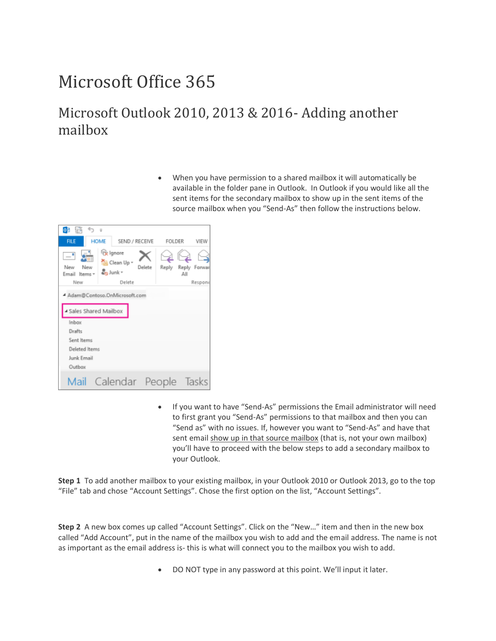# Microsoft Office 365

#### Microsoft Outlook 2010, 2013 & 2016- Adding another mailbox

• When you have permission to a shared mailbox it will automatically be available in the folder pane in Outlook. In Outlook if you would like all the sent items for the secondary mailbox to show up in the sent items of the source mailbox when you "Send-As" then follow the instructions below.



• If you want to have "Send-As" permissions the Email administrator will need to first grant you "Send-As" permissions to that mailbox and then you can "Send as" with no issues. If, however you want to "Send-As" and have that sent email show up in that source mailbox (that is, not your own mailbox) you'll have to proceed with the below steps to add a secondary mailbox to your Outlook.

**Step 1** To add another mailbox to your existing mailbox, in your Outlook 2010 or Outlook 2013, go to the top "File" tab and chose "Account Settings". Chose the first option on the list, "Account Settings".

**Step 2** A new box comes up called "Account Settings". Click on the "New…" item and then in the new box called "Add Account", put in the name of the mailbox you wish to add and the email address. The name is not as important as the email address is- this is what will connect you to the mailbox you wish to add.

• DO NOT type in any password at this point. We'll input it later.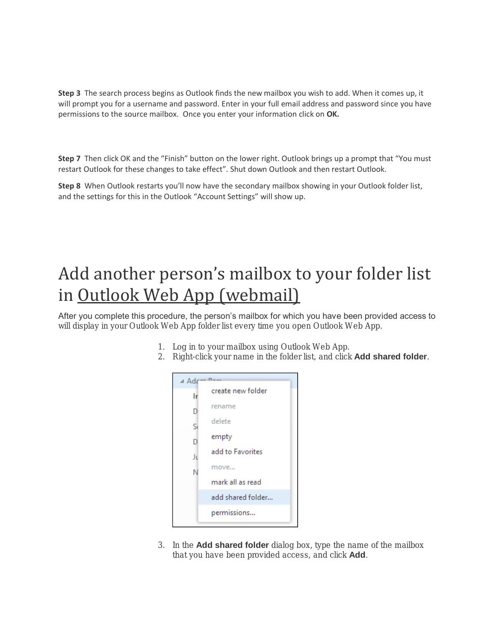**Step 3** The search process begins as Outlook finds the new mailbox you wish to add. When it comes up, it will prompt you for a username and password. Enter in your full email address and password since you have permissions to the source mailbox. Once you enter your information click on **OK.**

**Step 7** Then click OK and the "Finish" button on the lower right. Outlook brings up a prompt that "You must restart Outlook for these changes to take effect". Shut down Outlook and then restart Outlook.

**Step 8** When Outlook restarts you'll now have the secondary mailbox showing in your Outlook folder list, and the settings for this in the Outlook "Account Settings" will show up.

# Add another person's mailbox to your folder list in Outlook Web App (webmail)

After you complete this procedure, the person's mailbox for which you have been provided access to will display in your Outlook Web App folder list every time you open Outlook Web App.

- 1. Log in to your mailbox using Outlook Web App.
- 2. Right-click your name in the folder list, and click Add shared folder.



3. In the Add shared folder dialog box, type the name of the mailbox that you have been provided access, and click Add.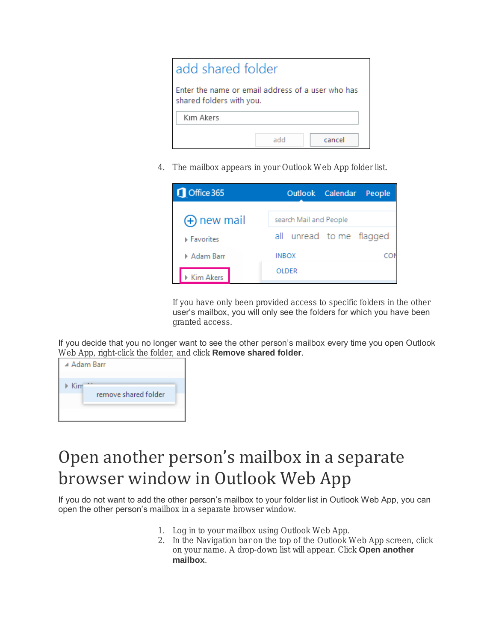| add shared folder                                                             |     |        |  |
|-------------------------------------------------------------------------------|-----|--------|--|
| Enter the name or email address of a user who has<br>shared folders with you. |     |        |  |
| Kım Akers                                                                     |     |        |  |
|                                                                               | add | cancel |  |

4. The mailbox appears in your Outlook Web App folder list.

| Office 365       |                        | Outlook Calendar People |  |                          |
|------------------|------------------------|-------------------------|--|--------------------------|
| (+) new mail     | search Mail and People |                         |  |                          |
| <b>Favorites</b> |                        |                         |  | all unread to me flagged |
| Adam Barr        | <b>INBOX</b>           |                         |  |                          |
| Kim Akers        | <b>OLDER</b>           |                         |  |                          |

If you have only been provided access to specific folders in the other user's mailbox, you will only see the folders for which you have been granted access.

If you decide that you no longer want to see the other person's mailbox every time you open Outlook Web App, right-click the folder, and click Remove shared folder.

| ⊿ Adam Barr                                  |  |
|----------------------------------------------|--|
| $\triangleright$ Kim<br>remove shared folder |  |

### Open another person's mailbox in a separate browser window in Outlook Web App

If you do not want to add the other person's mailbox to your folder list in Outlook Web App, you can open the other person's mailbox in a separate browser window.

- 1. Log in to your mailbox using Outlook Web App.
- 2. In the Navigation bar on the top of the Outlook Web App screen, click on your name. A drop-down list will appear. Click Open another mailbox.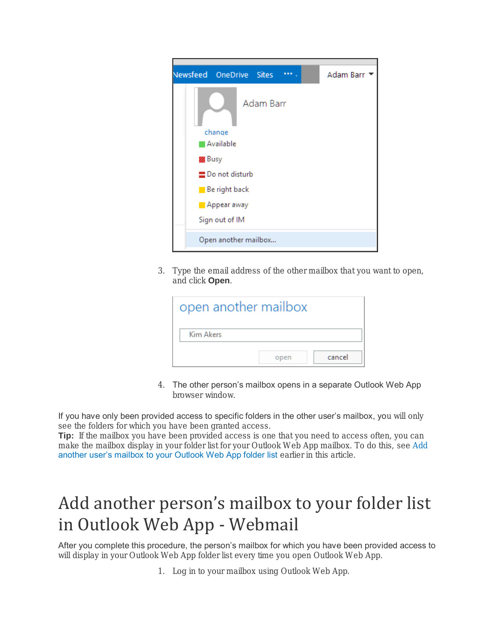

3. Type the email address of the other mailbox that you want to open, and click Open.

| open another mailbox |      |        |
|----------------------|------|--------|
| Kim Akers            |      |        |
|                      | open | cancel |

4. The other person's mailbox opens in a separate Outlook Web App browser window.

If you have only been provided access to specific folders in the other user's mailbox, you will only see the folders for which you have been granted access.

Tip: If the mailbox you have been provided access is one that you need to access often, you can make the mailbox display in your folder list for your Outlook Web App mailbox. To do this, see [Add](https://support.office.com/en-us/article/Access-another-person-s-mailbox-A909AD30-E413-40B5-A487-0EA70B763081?ui=en-US&rs=en-US&ad=US#__add_another_person_s)  [another user's mailbox to your Outlook Web App folder list](https://support.office.com/en-us/article/Access-another-person-s-mailbox-A909AD30-E413-40B5-A487-0EA70B763081?ui=en-US&rs=en-US&ad=US#__add_another_person_s) earlier in this article.

# Add another person's mailbox to your folder list in Outlook Web App - Webmail

After you complete this procedure, the person's mailbox for which you have been provided access to will display in your Outlook Web App folder list every time you open Outlook Web App.

1. Log in to your mailbox using Outlook Web App.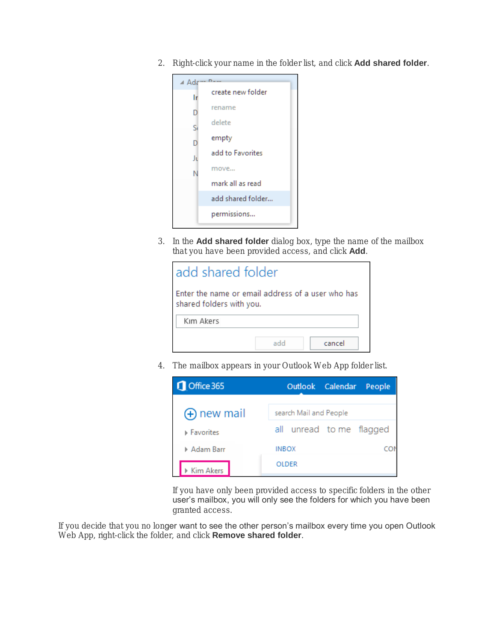2. Right-click your name in the folder list, and click Add shared folder.



3. In the Add shared folder dialog box, type the name of the mailbox that you have been provided access, and click Add.

| add shared folder                                                             |               |  |  |
|-------------------------------------------------------------------------------|---------------|--|--|
| Enter the name or email address of a user who has<br>shared folders with you. |               |  |  |
| Kim Akers                                                                     |               |  |  |
|                                                                               | cancel<br>add |  |  |

4. The mailbox appears in your Outlook Web App folder list.



If you have only been provided access to specific folders in the other user's mailbox, you will only see the folders for which you have been granted access.

If you decide that you no longer want to see the other person's mailbox every time you open Outlook Web App, right-click the folder, and click Remove shared folder.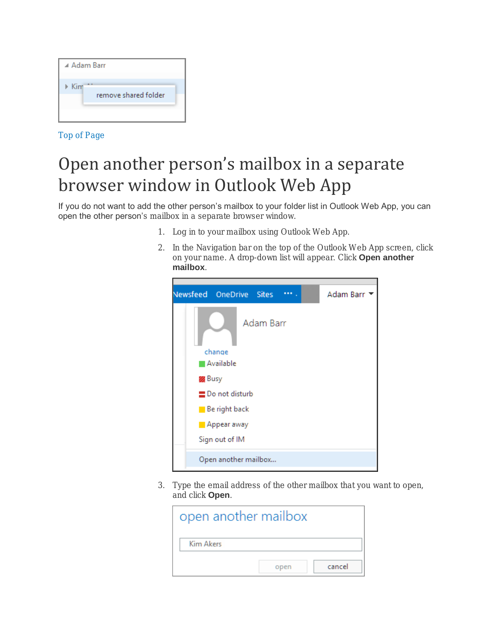| ▲ Adam Barr                      |  |
|----------------------------------|--|
| Kim<br>ь<br>remove shared folder |  |

[Top of Page](https://support.office.com/en-us/article/Access-another-person-s-mailbox-A909AD30-E413-40B5-A487-0EA70B763081?ui=en-US&rs=en-US&ad=US#top)

## Open another person's mailbox in a separate browser window in Outlook Web App

If you do not want to add the other person's mailbox to your folder list in Outlook Web App, you can open the other person's mailbox in a separate browser window.

- 1. Log in to your mailbox using Outlook Web App.
- 2. In the Navigation bar on the top of the Outlook Web App screen, click on your name. A drop-down list will appear. Click Open another mailbox.



3. Type the email address of the other mailbox that you want to open, and click Open.

| open another mailbox |      |        |
|----------------------|------|--------|
| <b>Kim Akers</b>     |      |        |
|                      | open | cancel |